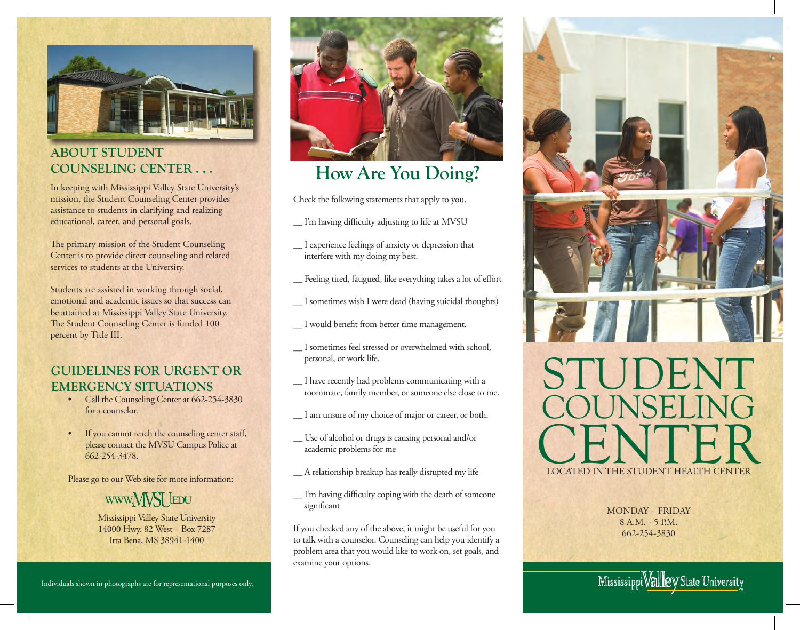

### **ABOUT STUDENT COUNSELING CENTER . . .**

In keeping with Mississippi Valley State University's mission, the Student Counseling Center provides assistance to students in clarifying and realizing educational, career, and personal goals.

The primary mission of the Student Counseling Center is to provide direct counseling and related services to students at the University.

Students are assisted in working through social, emotional and academic issues so that success can be attained at Mississippi Valley State University. The Student Counseling Center is funded 100 percent by Title III.

## **GUIDELINES FOR URGENT OR EMERGENCY SITUATIONS**

- Call the Counseling Center at 662-254-3830 for a counselor.
- If you cannot reach the counseling center staff, please contact the MVSU Campus Police at 662-254-3478.

Please go to our Web site for more information:

## www.MVSI LEDU

Mississippi Valley State University 14000 Hwy. 82 West – Box 7287 Itta Bena, MS 38941-1400



# **How Are You Doing?**

Check the following statements that apply to you.

- \_\_ I'm having diffi culty adjusting to life at MVSU
- \_\_ I experience feelings of anxiety or depression that interfere with my doing my best.
- \_\_ Feeling tired, fatigued, like everything takes a lot of effort
- \_\_ I sometimes wish I were dead (having suicidal thoughts)
- \_\_ I would benefi t from better time management.
- \_\_ I sometimes feel stressed or overwhelmed with school, personal, or work life.
- \_\_ I have recently had problems communicating with a roommate, family member, or someone else close to me.
- \_\_ I am unsure of my choice of major or career, or both.
- \_\_ Use of alcohol or drugs is causing personal and/or academic problems for me
- \_\_ A relationship breakup has really disrupted my life
- \_\_ I'm having diffi culty coping with the death of someone significant

If you checked any of the above, it might be useful for you to talk with a counselor. Counseling can help you identify a problem area that you would like to work on, set goals, and examine your options.



MONDAY – FRIDAY 8 A.M. - 5 P.M. 662-254-3830

Mississippi Vallley State University